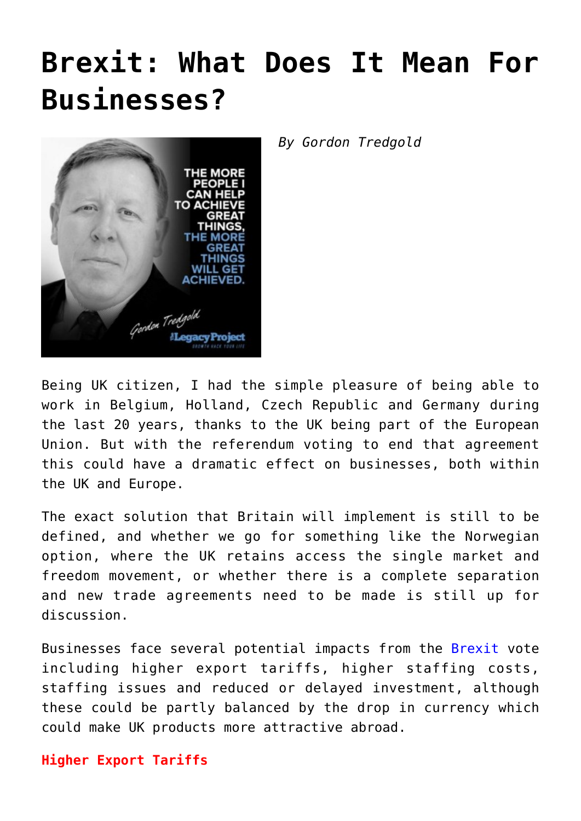## **[Brexit: What Does It Mean For](https://www.commpro.biz/brexit-what-does-it-mean-for-businesses/) [Businesses?](https://www.commpro.biz/brexit-what-does-it-mean-for-businesses/)**



*By Gordon Tredgold*

Being UK citizen, I had the simple pleasure of being able to work in Belgium, Holland, Czech Republic and Germany during the last 20 years, thanks to the UK being part of the European Union. But with the referendum voting to end that agreement this could have a dramatic effect on businesses, both within the UK and Europe.

The exact solution that Britain will implement is still to be defined, and whether we go for something like the Norwegian option, where the UK retains access the single market and freedom movement, or whether there is a complete separation and new trade agreements need to be made is still up for discussion.

Businesses face several potential impacts from the [Brexit](https://www.google.com/?ion=1&espv=2#q=brexit&tbm=nws) vote including higher export tariffs, higher staffing costs, staffing issues and reduced or delayed investment, although these could be partly balanced by the drop in currency which could make UK products more attractive abroad.

## **Higher Export Tariffs**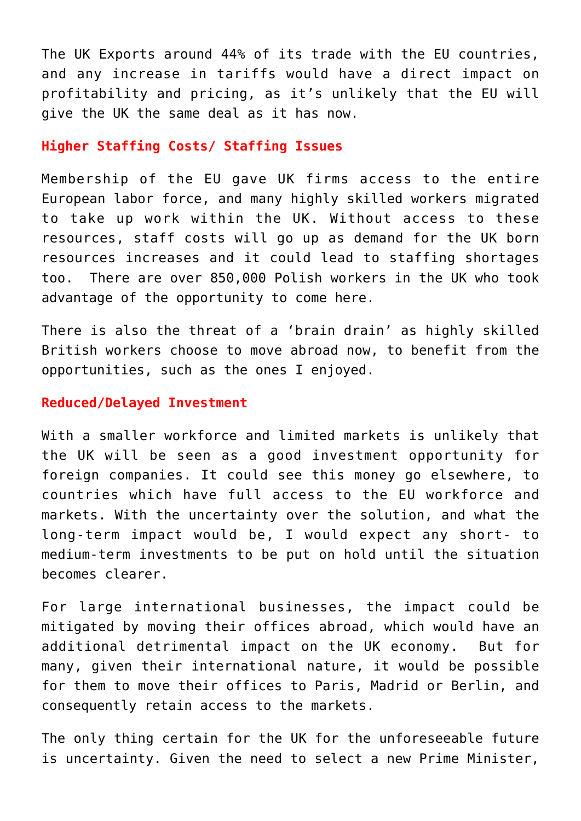The UK Exports around 44% of its trade with the EU countries, and any increase in tariffs would have a direct impact on profitability and pricing, as it's unlikely that the EU will give the UK the same deal as it has now.

## **Higher Staffing Costs/ Staffing Issues**

Membership of the EU gave UK firms access to the entire European labor force, and many highly skilled workers migrated to take up work within the UK. Without access to these resources, staff costs will go up as demand for the UK born resources increases and it could lead to staffing shortages too. There are over 850,000 Polish workers in the UK who took advantage of the opportunity to come here.

There is also the threat of a 'brain drain' as highly skilled British workers choose to move abroad now, to benefit from the opportunities, such as the ones I enjoyed.

## **Reduced/Delayed Investment**

With a smaller workforce and limited markets is unlikely that the UK will be seen as a good investment opportunity for foreign companies. It could see this money go elsewhere, to countries which have full access to the EU workforce and markets. With the uncertainty over the solution, and what the long-term impact would be, I would expect any short- to medium-term investments to be put on hold until the situation becomes clearer.

For large international businesses, the impact could be mitigated by moving their offices abroad, which would have an additional detrimental impact on the UK economy. But for many, given their international nature, it would be possible for them to move their offices to Paris, Madrid or Berlin, and consequently retain access to the markets.

The only thing certain for the UK for the unforeseeable future is uncertainty. Given the need to select a new Prime Minister,